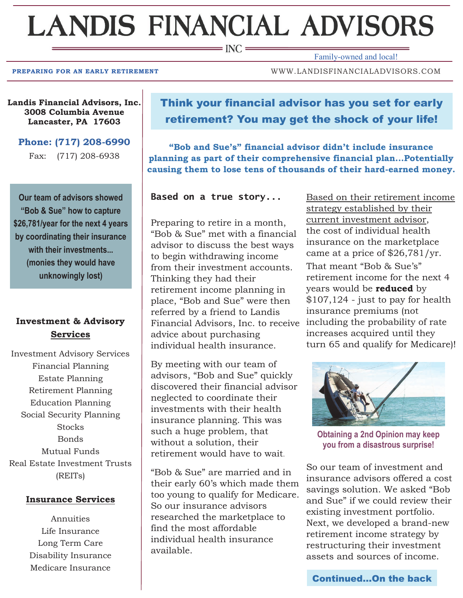# **LANDIS FINANCIAL ADVISORS**

 $\equiv$  INC  $\equiv$ 

Family-owned and local!

**PREPARING FOR AN EARLY RETIREMENT WWW.LANDISFINANCIALADVISORS.COM** 

**Landis Financial Advisors, Inc. 3008 Columbia Avenue Lancaster, PA 17603**

**Phone: (717) 208-6990**

Fax: (717) 208-6938

**Our team of advisors showed "Bob & Sue" how to capture \$26,781/year for the next 4 years by coordinating their insurance with their investments... (monies they would have unknowingly lost)** 

# **Investment & Advisory Services**

Investment Advisory Services Financial Planning Estate Planning Retirement Planning Education Planning Social Security Planning **Stocks** Bonds Mutual Funds Real Estate Investment Trusts (REITs)

### **Insurance Services**

Annuities Life Insurance Long Term Care Disability Insurance Medicare Insurance

# Think your financial advisor has you set for early retirement? You may get the shock of your life!

**"Bob and Sue's" financial advisor didn't include insurance planning as part of their comprehensive financial plan...Potentially causing them to lose tens of thousands of their hard-earned money.**

**Based on a true story...**

Preparing to retire in a month, "Bob & Sue" met with a financial advisor to discuss the best ways to begin withdrawing income from their investment accounts. Thinking they had their retirement income planning in place, "Bob and Sue" were then referred by a friend to Landis Financial Advisors, Inc. to receive advice about purchasing individual health insurance.

By meeting with our team of advisors, "Bob and Sue" quickly discovered their financial advisor neglected to coordinate their investments with their health insurance planning. This was such a huge problem, that without a solution, their retirement would have to wait.

"Bob & Sue" are married and in their early 60's which made them too young to qualify for Medicare. So our insurance advisors researched the marketplace to find the most affordable individual health insurance available.

Based on their retirement income strategy established by their current investment advisor, the cost of individual health insurance on the marketplace came at a price of \$26,781/yr. That meant "Bob & Sue's" retirement income for the next 4 years would be **reduced** by \$107,124 - just to pay for health insurance premiums (not including the probability of rate increases acquired until they turn 65 and qualify for Medicare)!



**Obtaining a 2nd Opinion may keep you from a disastrous surprise!**

So our team of investment and insurance advisors offered a cost savings solution. We asked "Bob and Sue" if we could review their existing investment portfolio. Next, we developed a brand-new retirement income strategy by restructuring their investment assets and sources of income.